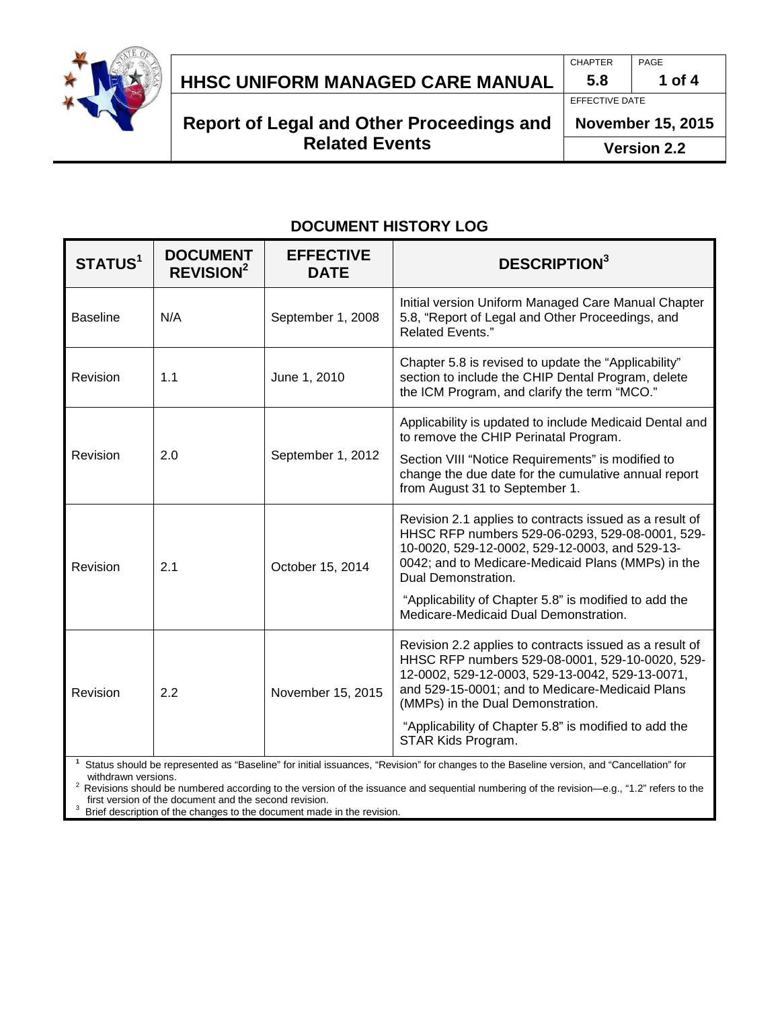

# **HHSC UNIFORM MANAGED CARE MANUAL 5.8 1 of 4**

# **Report of Legal and Other Proceedings and Related Events**

CHAPTER PAGE

EFFECTIVE DATE

**November 15, 2015**

**Version 2.2**

# **DOCUMENT HISTORY LOG**

| STATUS <sup>1</sup> | <b>DOCUMENT</b><br><b>REVISION<sup>2</sup></b> | <b>EFFECTIVE</b><br><b>DATE</b> | <b>DESCRIPTION3</b>                                                                                                                                                                                                                                                                                                                         |  |
|---------------------|------------------------------------------------|---------------------------------|---------------------------------------------------------------------------------------------------------------------------------------------------------------------------------------------------------------------------------------------------------------------------------------------------------------------------------------------|--|
| <b>Baseline</b>     | N/A                                            | September 1, 2008               | Initial version Uniform Managed Care Manual Chapter<br>5.8, "Report of Legal and Other Proceedings, and<br><b>Related Events."</b>                                                                                                                                                                                                          |  |
| Revision            | 1.1                                            | June 1, 2010                    | Chapter 5.8 is revised to update the "Applicability"<br>section to include the CHIP Dental Program, delete<br>the ICM Program, and clarify the term "MCO."                                                                                                                                                                                  |  |
| Revision            | 2.0                                            | September 1, 2012               | Applicability is updated to include Medicaid Dental and<br>to remove the CHIP Perinatal Program.<br>Section VIII "Notice Requirements" is modified to<br>change the due date for the cumulative annual report<br>from August 31 to September 1.                                                                                             |  |
| Revision            | 2.1                                            | October 15, 2014                | Revision 2.1 applies to contracts issued as a result of<br>HHSC RFP numbers 529-06-0293, 529-08-0001, 529-<br>10-0020, 529-12-0002, 529-12-0003, and 529-13-<br>0042; and to Medicare-Medicaid Plans (MMPs) in the<br>Dual Demonstration.<br>"Applicability of Chapter 5.8" is modified to add the<br>Medicare-Medicaid Dual Demonstration. |  |
| Revision            | 2.2                                            | November 15, 2015               | Revision 2.2 applies to contracts issued as a result of<br>HHSC RFP numbers 529-08-0001, 529-10-0020, 529-<br>12-0002, 529-12-0003, 529-13-0042, 529-13-0071,<br>and 529-15-0001; and to Medicare-Medicaid Plans<br>(MMPs) in the Dual Demonstration.<br>"Applicability of Chapter 5.8" is modified to add the<br>STAR Kids Program.        |  |

**1** Status should be represented as "Baseline" for initial issuances, "Revision" for changes to the Baseline version, and "Cancellation" for

Revisions should be numbered according to the version of the issuance and sequential numbering of the revision—e.g., "1.2" refers to the<br>first version of the document and the second revision.

first version of the document and the second revision.<br><sup>3</sup> Brief description of the changes to the document made in the revision.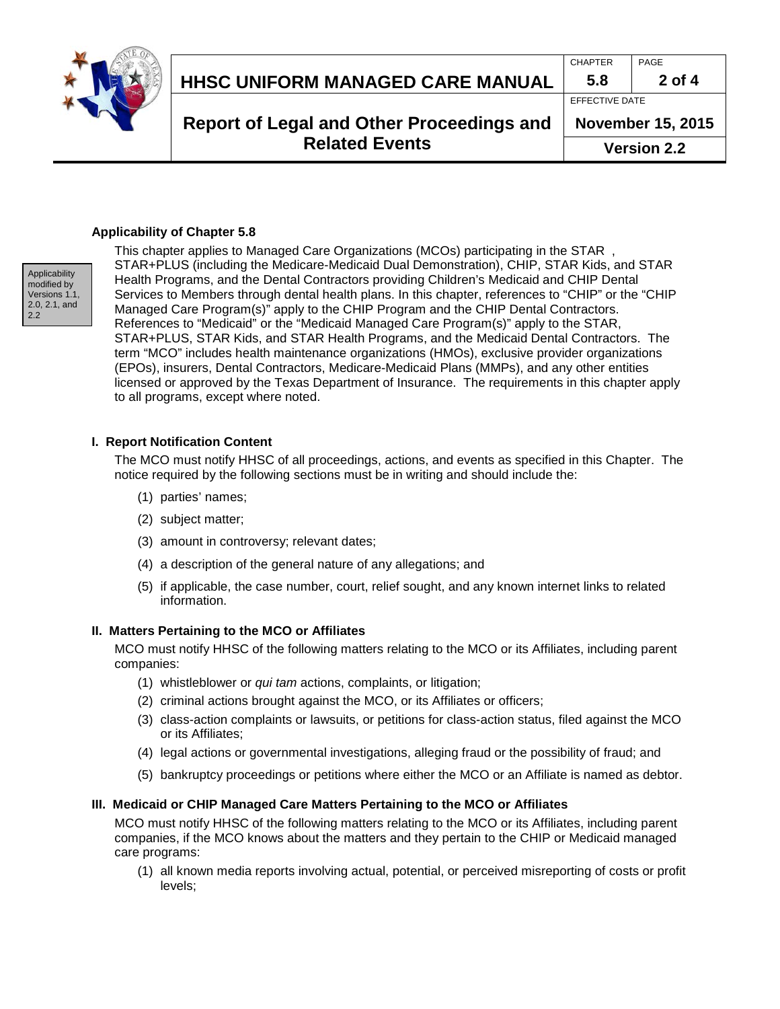

# **HHSC UNIFORM MANAGED CARE MANUAL 5.8 2 of 4**

CHAPTER PAGE

# EFFECTIVE DATE

**Report of Legal and Other Proceedings and Related Events**

**November 15, 2015 Version 2.2**

## **Applicability of Chapter 5.8**



This chapter applies to Managed Care Organizations (MCOs) participating in the STAR , STAR+PLUS (including the Medicare-Medicaid Dual Demonstration), CHIP, STAR Kids, and STAR Health Programs, and the Dental Contractors providing Children's Medicaid and CHIP Dental Services to Members through dental health plans. In this chapter, references to "CHIP" or the "CHIP Managed Care Program(s)" apply to the CHIP Program and the CHIP Dental Contractors. References to "Medicaid" or the "Medicaid Managed Care Program(s)" apply to the STAR, STAR+PLUS, STAR Kids, and STAR Health Programs, and the Medicaid Dental Contractors. The term "MCO" includes health maintenance organizations (HMOs), exclusive provider organizations (EPOs), insurers, Dental Contractors, Medicare-Medicaid Plans (MMPs), and any other entities licensed or approved by the Texas Department of Insurance. The requirements in this chapter apply to all programs, except where noted.

## **I. Report Notification Content**

The MCO must notify HHSC of all proceedings, actions, and events as specified in this Chapter. The notice required by the following sections must be in writing and should include the:

- (1) parties' names;
- (2) subject matter;
- (3) amount in controversy; relevant dates;
- (4) a description of the general nature of any allegations; and
- (5) if applicable, the case number, court, relief sought, and any known internet links to related information.

## **II. Matters Pertaining to the MCO or Affiliates**

MCO must notify HHSC of the following matters relating to the MCO or its Affiliates, including parent companies:

- (1) whistleblower or *qui tam* actions, complaints, or litigation;
- (2) criminal actions brought against the MCO, or its Affiliates or officers;
- (3) class-action complaints or lawsuits, or petitions for class-action status, filed against the MCO or its Affiliates;
- (4) legal actions or governmental investigations, alleging fraud or the possibility of fraud; and
- (5) bankruptcy proceedings or petitions where either the MCO or an Affiliate is named as debtor.

## **III. Medicaid or CHIP Managed Care Matters Pertaining to the MCO or Affiliates**

MCO must notify HHSC of the following matters relating to the MCO or its Affiliates, including parent companies, if the MCO knows about the matters and they pertain to the CHIP or Medicaid managed care programs:

(1) all known media reports involving actual, potential, or perceived misreporting of costs or profit levels;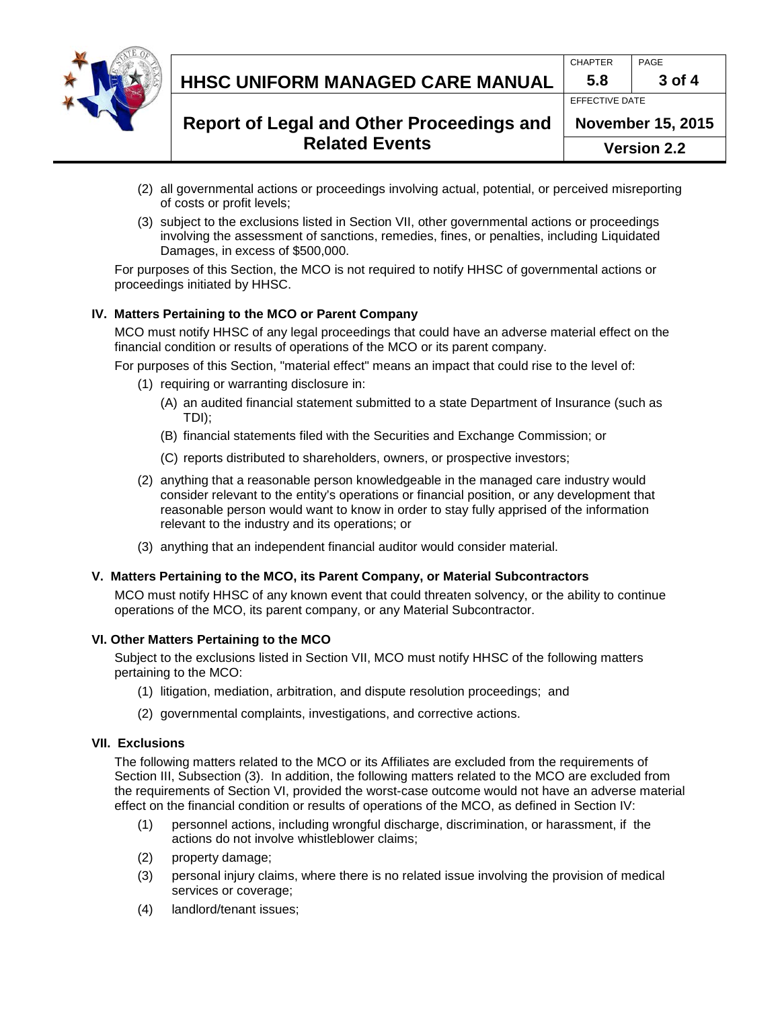|  | HHSC UNIFORM MANAGED CARE MANUAL                                          | <b>CHAPTER</b><br>5.8 | PAGE<br>3 of 4                                                   |
|--|---------------------------------------------------------------------------|-----------------------|------------------------------------------------------------------|
|  | <b>Report of Legal and Other Proceedings and</b><br><b>Related Events</b> |                       | EFFECTIVE DATE<br><b>November 15, 2015</b><br><b>Version 2.2</b> |

- (2) all governmental actions or proceedings involving actual, potential, or perceived misreporting of costs or profit levels;
- (3) subject to the exclusions listed in Section VII, other governmental actions or proceedings involving the assessment of sanctions, remedies, fines, or penalties, including Liquidated Damages, in excess of \$500,000.

For purposes of this Section, the MCO is not required to notify HHSC of governmental actions or proceedings initiated by HHSC.

#### **IV. Matters Pertaining to the MCO or Parent Company**

MCO must notify HHSC of any legal proceedings that could have an adverse material effect on the financial condition or results of operations of the MCO or its parent company.

For purposes of this Section, "material effect" means an impact that could rise to the level of:

- (1) requiring or warranting disclosure in:
	- (A) an audited financial statement submitted to a state Department of Insurance (such as TDI);
	- (B) financial statements filed with the Securities and Exchange Commission; or
	- (C) reports distributed to shareholders, owners, or prospective investors;
- (2) anything that a reasonable person knowledgeable in the managed care industry would consider relevant to the entity's operations or financial position, or any development that reasonable person would want to know in order to stay fully apprised of the information relevant to the industry and its operations; or
- (3) anything that an independent financial auditor would consider material.

#### **V. Matters Pertaining to the MCO, its Parent Company, or Material Subcontractors**

MCO must notify HHSC of any known event that could threaten solvency, or the ability to continue operations of the MCO, its parent company, or any Material Subcontractor.

#### **VI. Other Matters Pertaining to the MCO**

Subject to the exclusions listed in Section VII, MCO must notify HHSC of the following matters pertaining to the MCO:

- (1) litigation, mediation, arbitration, and dispute resolution proceedings; and
- (2) governmental complaints, investigations, and corrective actions.

#### **VII. Exclusions**

The following matters related to the MCO or its Affiliates are excluded from the requirements of Section III, Subsection (3).In addition, the following matters related to the MCO are excluded from the requirements of Section VI, provided the worst-case outcome would not have an adverse material effect on the financial condition or results of operations of the MCO, as defined in Section IV:

- (1) personnel actions, including wrongful discharge, discrimination, or harassment, if the actions do not involve whistleblower claims;
- (2) property damage;
- (3) personal injury claims, where there is no related issue involving the provision of medical services or coverage;
- (4) landlord/tenant issues;